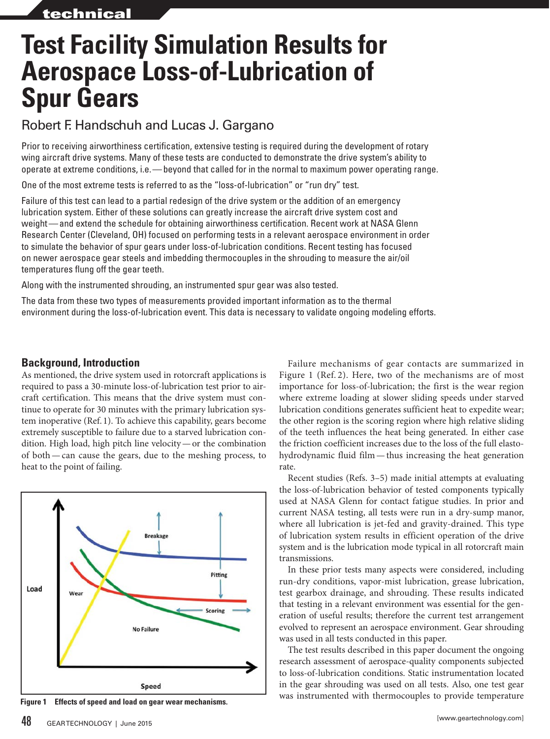# **Test Facility Simulation Results for Aerospace Loss-of-Lubrication of Spur Gears**

## Robert F. Handschuh and Lucas J. Gargano

Prior to receiving airworthiness certification, extensive testing is required during the development of rotary wing aircraft drive systems. Many of these tests are conducted to demonstrate the drive system's ability to operate at extreme conditions, i.e.—beyond that called for in the normal to maximum power operating range.

One of the most extreme tests is referred to as the "loss-of-lubrication" or "run dry" test.

Failure of this test can lead to a partial redesign of the drive system or the addition of an emergency lubrication system. Either of these solutions can greatly increase the aircraft drive system cost and weight—and extend the schedule for obtaining airworthiness certification. Recent work at NASA Glenn Research Center (Cleveland, OH) focused on performing tests in a relevant aerospace environment in order to simulate the behavior of spur gears under loss-of-lubrication conditions. Recent testing has focused on newer aerospace gear steels and imbedding thermocouples in the shrouding to measure the air/oil temperatures flung off the gear teeth.

Along with the instrumented shrouding, an instrumented spur gear was also tested.

The data from these two types of measurements provided important information as to the thermal environment during the loss-of-lubrication event. This data is necessary to validate ongoing modeling efforts.

#### **Background, Introduction**

As mentioned, the drive system used in rotorcraft applications is required to pass a 30-minute loss-of-lubrication test prior to aircraft certification. This means that the drive system must continue to operate for 30 minutes with the primary lubrication system inoperative (Ref. 1). To achieve this capability, gears become extremely susceptible to failure due to a starved lubrication condition. High load, high pitch line velocity—or the combination of both—can cause the gears, due to the meshing process, to heat to the point of failing.



Failure mechanisms of gear contacts are summarized in Figure 1 (Ref. 2). Here, two of the mechanisms are of most importance for loss-of-lubrication; the first is the wear region where extreme loading at slower sliding speeds under starved lubrication conditions generates sufficient heat to expedite wear; the other region is the scoring region where high relative sliding of the teeth influences the heat being generated. In either case the friction coefficient increases due to the loss of the full elastohydrodynamic fluid film—thus increasing the heat generation rate.

Recent studies (Refs. 3–5) made initial attempts at evaluating the loss-of-lubrication behavior of tested components typically used at NASA Glenn for contact fatigue studies. In prior and current NASA testing, all tests were run in a dry-sump manor, where all lubrication is jet-fed and gravity-drained. This type of lubrication system results in efficient operation of the drive system and is the lubrication mode typical in all rotorcraft main transmissions.

In these prior tests many aspects were considered, including run-dry conditions, vapor-mist lubrication, grease lubrication, test gearbox drainage, and shrouding. These results indicated that testing in a relevant environment was essential for the generation of useful results; therefore the current test arrangement evolved to represent an aerospace environment. Gear shrouding was used in all tests conducted in this paper.

The test results described in this paper document the ongoing research assessment of aerospace-quality components subjected to loss-of-lubrication conditions. Static instrumentation located in the gear shrouding was used on all tests. Also, one test gear was instrumented with thermocouples to provide temperature **Figure 1 Effects of speed and load on gear wear mechanisms.**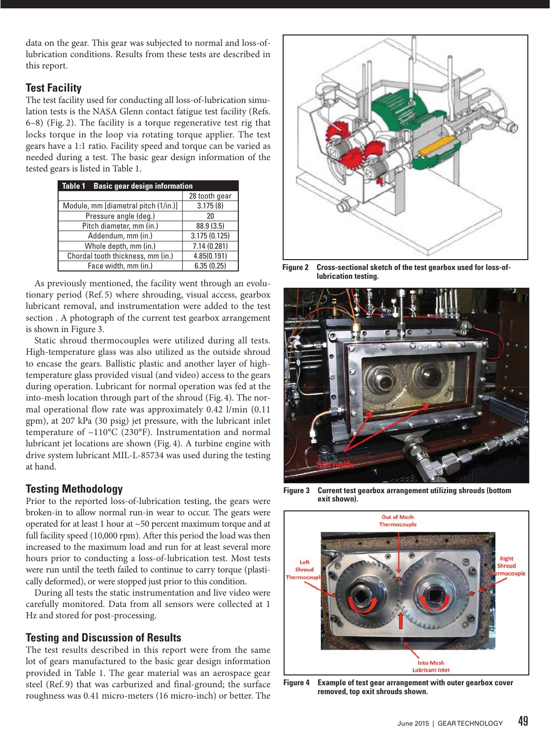data on the gear. This gear was subjected to normal and loss-oflubrication conditions. Results from these tests are described in this report.

#### **Test Facility**

The test facility used for conducting all loss-of-lubrication simulation tests is the NASA Glenn contact fatigue test facility (Refs. 6–8) (Fig. 2). The facility is a torque regenerative test rig that locks torque in the loop via rotating torque applier. The test gears have a 1:1 ratio. Facility speed and torque can be varied as needed during a test. The basic gear design information of the tested gears is listed in Table 1.

| <b>Basic gear design information</b><br>Table 1 |               |  |
|-------------------------------------------------|---------------|--|
|                                                 | 28 tooth gear |  |
| Module, mm [diametral pitch (1/in.)]            | 3.175(8)      |  |
| Pressure angle (deg.)                           | 20            |  |
| Pitch diameter, mm (in.)                        | 88.9 (3.5)    |  |
| Addendum, mm (in.)                              | 3.175(0.125)  |  |
| Whole depth, mm (in.)                           | 7.14(0.281)   |  |
| Chordal tooth thickness, mm (in.)               | 4.85(0.191)   |  |
| Face width, mm (in.)                            | 6.35(0.25)    |  |

As previously mentioned, the facility went through an evolutionary period (Ref. 5) where shrouding, visual access, gearbox lubricant removal, and instrumentation were added to the test section . A photograph of the current test gearbox arrangement is shown in Figure 3.

Static shroud thermocouples were utilized during all tests. High-temperature glass was also utilized as the outside shroud to encase the gears. Ballistic plastic and another layer of hightemperature glass provided visual (and video) access to the gears during operation. Lubricant for normal operation was fed at the into-mesh location through part of the shroud (Fig. 4). The normal operational flow rate was approximately 0.42 l/min (0.11 gpm), at 207 kPa (30 psig) jet pressure, with the lubricant inlet temperature of ~110°C (230°F). Instrumentation and normal lubricant jet locations are shown (Fig. 4). A turbine engine with drive system lubricant MIL-L-85734 was used during the testing at hand.

#### **Testing Methodology**

Prior to the reported loss-of-lubrication testing, the gears were broken-in to allow normal run-in wear to occur. The gears were operated for at least 1 hour at ~50 percent maximum torque and at full facility speed (10,000 rpm). After this period the load was then increased to the maximum load and run for at least several more hours prior to conducting a loss-of-lubrication test. Most tests were run until the teeth failed to continue to carry torque (plastically deformed), or were stopped just prior to this condition.

During all tests the static instrumentation and live video were carefully monitored. Data from all sensors were collected at 1 Hz and stored for post-processing.

#### **Testing and Discussion of Results**

The test results described in this report were from the same lot of gears manufactured to the basic gear design information provided in Table 1. The gear material was an aerospace gear steel (Ref. 9) that was carburized and final-ground; the surface roughness was 0.41 micro-meters (16 micro-inch) or better. The



**Figure 2 Cross-sectional sketch of the test gearbox used for loss-oflubrication testing.**



**Figure 3 Current test gearbox arrangement utilizing shrouds (bottom exit shown).**



**Figure 4 Example of test gear arrangement with outer gearbox cover removed, top exit shrouds shown.**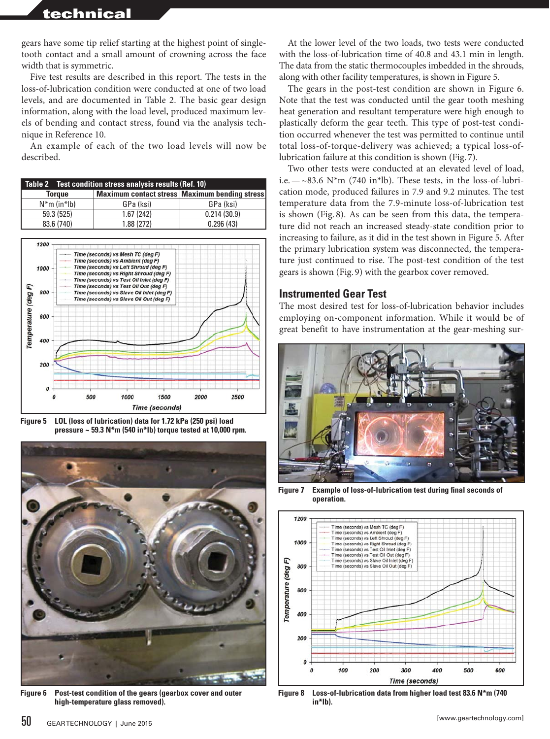## technical

gears have some tip relief starting at the highest point of singletooth contact and a small amount of crowning across the face width that is symmetric.

Five test results are described in this report. The tests in the loss-of-lubrication condition were conducted at one of two load levels, and are documented in Table 2. The basic gear design information, along with the load level, produced maximum levels of bending and contact stress, found via the analysis technique in Reference 10.

An example of each of the two load levels will now be described.

| Table 2 Test condition stress analysis results (Ref. 10) |            |                                               |
|----------------------------------------------------------|------------|-----------------------------------------------|
| <b>Torque</b>                                            |            | Maximum contact stress Maximum bending stress |
| $N*m$ (in <sup>*</sup> lb)                               | GPa (ksi)  | GPa (ksi)                                     |
| 59.3 (525)                                               | 1.67(242)  | 0.214(30.9)                                   |
| 83.6 (740)                                               | 1.88 (272) | 0.296(43)                                     |



**Figure 5 LOL (loss of lubrication) data for 1.72 kPa (250 psi) load pressure ~ 59.3 N\*m (540 in\*lb) torque tested at 10,000 rpm.**



**Figure 6 Post-test condition of the gears (gearbox cover and outer high-temperature glass removed).**

At the lower level of the two loads, two tests were conducted with the loss-of-lubrication time of 40.8 and 43.1 min in length. The data from the static thermocouples imbedded in the shrouds, along with other facility temperatures, is shown in Figure 5.

The gears in the post-test condition are shown in Figure 6. Note that the test was conducted until the gear tooth meshing heat generation and resultant temperature were high enough to plastically deform the gear teeth. This type of post-test condition occurred whenever the test was permitted to continue until total loss-of-torque-delivery was achieved; a typical loss-oflubrication failure at this condition is shown (Fig. 7).

Two other tests were conducted at an elevated level of load, i.e.  $-\sim$ 83.6 N\*m (740 in\*lb). These tests, in the loss-of-lubrication mode, produced failures in 7.9 and 9.2 minutes. The test temperature data from the 7.9-minute loss-of-lubrication test is shown (Fig. 8). As can be seen from this data, the temperature did not reach an increased steady-state condition prior to increasing to failure, as it did in the test shown in Figure 5. After the primary lubrication system was disconnected, the temperature just continued to rise. The post-test condition of the test gears is shown (Fig. 9) with the gearbox cover removed.

#### **Instrumented Gear Test**

The most desired test for loss-of-lubrication behavior includes employing on-component information. While it would be of great benefit to have instrumentation at the gear-meshing sur-



**Figure 7 Example of loss-of-lubrication test during final seconds of operation.**



**Figure 8 Loss-of-lubrication data from higher load test 83.6 N\*m (740 in\*lb).**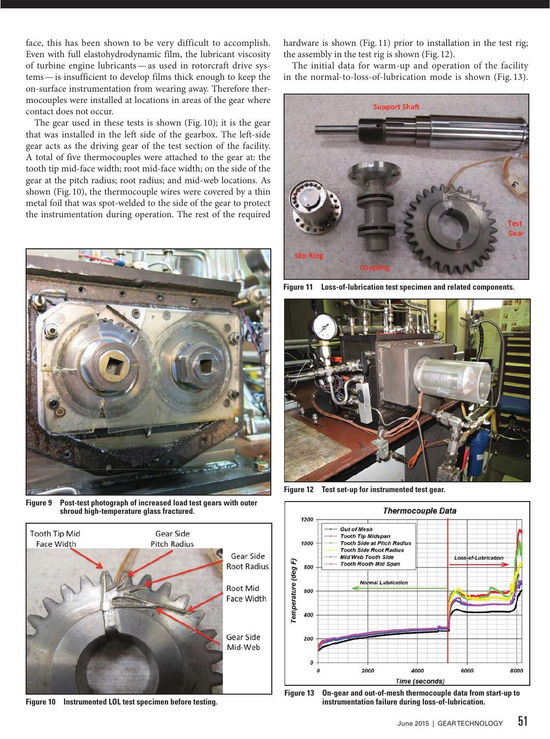face, this has been shown to be very difficult to accomplish. Even with full elastohydrodynamic film, the lubricant viscosity of turbine engine lubricants—as used in rotorcraft drive systems—is insufficient to develop films thick enough to keep the on-surface instrumentation from wearing away. Therefore thermocouples were installed at locations in areas of the gear where contact does not occur.

The gear used in these tests is shown (Fig. 10); it is the gear that was installed in the left side of the gearbox. The left-side gear acts as the driving gear of the test section of the facility. A total of five thermocouples were attached to the gear at: the tooth tip mid-face width; root mid-face width; on the side of the gear at the pitch radius; root radius; and mid-web locations. As shown (Fig. 10), the thermocouple wires were covered by a thin metal foil that was spot-welded to the side of the gear to protect the instrumentation during operation. The rest of the required



**Figure 9 Post-test photograph of increased load test gears with outer shroud high-temperature glass fractured.**



**Figure 10 Instrumented LOL test specimen before testing.**

hardware is shown (Fig. 11) prior to installation in the test rig; the assembly in the test rig is shown (Fig. 12).

The initial data for warm-up and operation of the facility in the normal-to-loss-of-lubrication mode is shown (Fig. 13).



**Figure 11 Loss-of-lubrication test specimen and related components.**



**Figure 12 Test set-up for instrumented test gear.**



**Figure 13 On-gear and out-of-mesh thermocouple data from start-up to instrumentation failure during loss-of-lubrication.**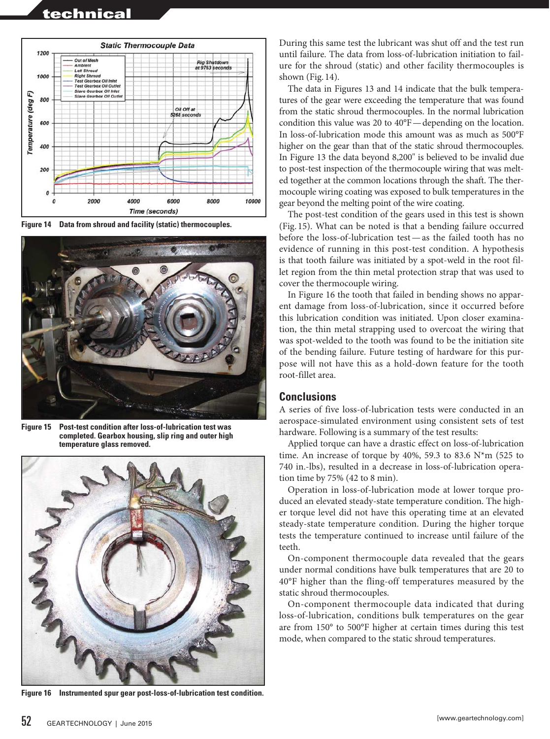

**Figure 14 Data from shroud and facility (static) thermocouples.**



**Figure 15 Post-test condition after loss-of-lubrication test was completed. Gearbox housing, slip ring and outer high temperature glass removed.**



**Figure 16 Instrumented spur gear post-loss-of-lubrication test condition.**

During this same test the lubricant was shut off and the test run until failure. The data from loss-of-lubrication initiation to failure for the shroud (static) and other facility thermocouples is shown (Fig. 14).

The data in Figures 13 and 14 indicate that the bulk temperatures of the gear were exceeding the temperature that was found from the static shroud thermocouples. In the normal lubrication condition this value was 20 to 40°F—depending on the location. In loss-of-lubrication mode this amount was as much as 500°F higher on the gear than that of the static shroud thermocouples. In Figure 13 the data beyond 8,200" is believed to be invalid due to post-test inspection of the thermocouple wiring that was melted together at the common locations through the shaft. The thermocouple wiring coating was exposed to bulk temperatures in the gear beyond the melting point of the wire coating.

The post-test condition of the gears used in this test is shown (Fig. 15). What can be noted is that a bending failure occurred before the loss-of-lubrication test—as the failed tooth has no evidence of running in this post-test condition. A hypothesis is that tooth failure was initiated by a spot-weld in the root fillet region from the thin metal protection strap that was used to cover the thermocouple wiring.

In Figure 16 the tooth that failed in bending shows no apparent damage from loss-of-lubrication, since it occurred before this lubrication condition was initiated. Upon closer examination, the thin metal strapping used to overcoat the wiring that was spot-welded to the tooth was found to be the initiation site of the bending failure. Future testing of hardware for this purpose will not have this as a hold-down feature for the tooth root-fillet area.

#### **Conclusions**

A series of five loss-of-lubrication tests were conducted in an aerospace-simulated environment using consistent sets of test hardware. Following is a summary of the test results:

Applied torque can have a drastic effect on loss-of-lubrication time. An increase of torque by 40%, 59.3 to 83.6  $N*m$  (525 to 740 in.-lbs), resulted in a decrease in loss-of-lubrication operation time by 75% (42 to 8 min).

Operation in loss-of-lubrication mode at lower torque produced an elevated steady-state temperature condition. The higher torque level did not have this operating time at an elevated steady-state temperature condition. During the higher torque tests the temperature continued to increase until failure of the teeth.

On-component thermocouple data revealed that the gears under normal conditions have bulk temperatures that are 20 to 40°F higher than the fling-off temperatures measured by the static shroud thermocouples.

On-component thermocouple data indicated that during loss-of-lubrication, conditions bulk temperatures on the gear are from 150° to 500°F higher at certain times during this test mode, when compared to the static shroud temperatures.